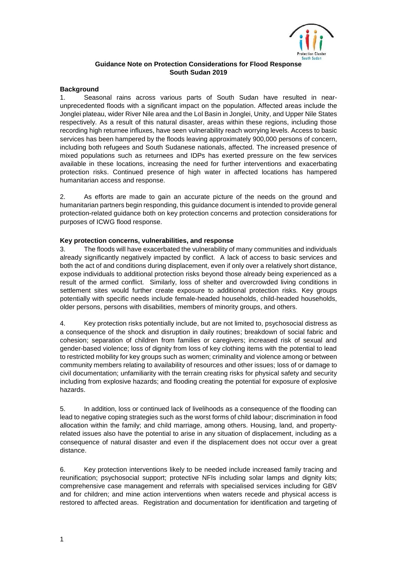

# **Guidance Note on Protection Considerations for Flood Response South Sudan 2019**

### **Background**

1. Seasonal rains across various parts of South Sudan have resulted in nearunprecedented floods with a significant impact on the population. Affected areas include the Jonglei plateau, wider River Nile area and the Lol Basin in Jonglei, Unity, and Upper Nile States respectively. As a result of this natural disaster, areas within these regions, including those recording high returnee influxes, have seen vulnerability reach worrying levels. Access to basic services has been hampered by the floods leaving approximately 900,000 persons of concern, including both refugees and South Sudanese nationals, affected. The increased presence of mixed populations such as returnees and IDPs has exerted pressure on the few services available in these locations, increasing the need for further interventions and exacerbating protection risks. Continued presence of high water in affected locations has hampered humanitarian access and response.

2. As efforts are made to gain an accurate picture of the needs on the ground and humanitarian partners begin responding, this guidance document is intended to provide general protection-related guidance both on key protection concerns and protection considerations for purposes of ICWG flood response.

### **Key protection concerns, vulnerabilities, and response**

3. The floods will have exacerbated the vulnerability of many communities and individuals already significantly negatively impacted by conflict. A lack of access to basic services and both the act of and conditions during displacement, even if only over a relatively short distance, expose individuals to additional protection risks beyond those already being experienced as a result of the armed conflict. Similarly, loss of shelter and overcrowded living conditions in settlement sites would further create exposure to additional protection risks. Key groups potentially with specific needs include female-headed households, child-headed households, older persons, persons with disabilities, members of minority groups, and others.

4. Key protection risks potentially include, but are not limited to, psychosocial distress as a consequence of the shock and disruption in daily routines; breakdown of social fabric and cohesion; separation of children from families or caregivers; increased risk of sexual and gender-based violence; loss of dignity from loss of key clothing items with the potential to lead to restricted mobility for key groups such as women; criminality and violence among or between community members relating to availability of resources and other issues; loss of or damage to civil documentation; unfamiliarity with the terrain creating risks for physical safety and security including from explosive hazards; and flooding creating the potential for exposure of explosive hazards.

5. In addition, loss or continued lack of livelihoods as a consequence of the flooding can lead to negative coping strategies such as the worst forms of child labour; discrimination in food allocation within the family; and child marriage, among others. Housing, land, and propertyrelated issues also have the potential to arise in any situation of displacement, including as a consequence of natural disaster and even if the displacement does not occur over a great distance.

6. Key protection interventions likely to be needed include increased family tracing and reunification; psychosocial support; protective NFIs including solar lamps and dignity kits; comprehensive case management and referrals with specialised services including for GBV and for children; and mine action interventions when waters recede and physical access is restored to affected areas. Registration and documentation for identification and targeting of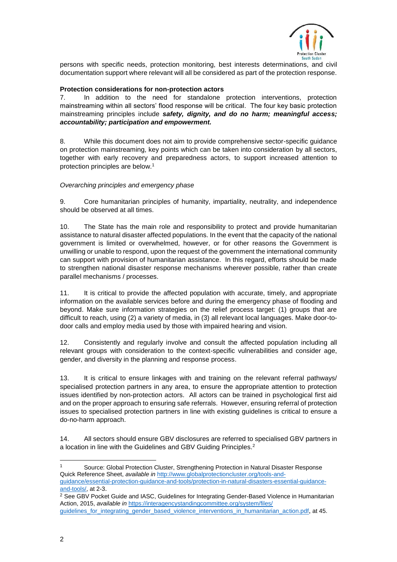

persons with specific needs, protection monitoring, best interests determinations, and civil documentation support where relevant will all be considered as part of the protection response.

### **Protection considerations for non-protection actors**

7. In addition to the need for standalone protection interventions, protection mainstreaming within all sectors' flood response will be critical. The four key basic protection mainstreaming principles include *safety, dignity, and do no harm; meaningful access; accountability; participation and empowerment.*

8. While this document does not aim to provide comprehensive sector-specific guidance on protection mainstreaming, key points which can be taken into consideration by all sectors, together with early recovery and preparedness actors, to support increased attention to protection principles are below.<sup>1</sup>

### *Overarching principles and emergency phase*

9. Core humanitarian principles of humanity, impartiality, neutrality, and independence should be observed at all times.

10. The State has the main role and responsibility to protect and provide humanitarian assistance to natural disaster affected populations. In the event that the capacity of the national government is limited or overwhelmed, however, or for other reasons the Government is unwilling or unable to respond, upon the request of the government the international community can support with provision of humanitarian assistance. In this regard, efforts should be made to strengthen national disaster response mechanisms wherever possible, rather than create parallel mechanisms / processes.

11. It is critical to provide the affected population with accurate, timely, and appropriate information on the available services before and during the emergency phase of flooding and beyond. Make sure information strategies on the relief process target: (1) groups that are difficult to reach, using (2) a variety of media, in (3) all relevant local languages. Make door-todoor calls and employ media used by those with impaired hearing and vision.

12. Consistently and regularly involve and consult the affected population including all relevant groups with consideration to the context-specific vulnerabilities and consider age, gender, and diversity in the planning and response process.

13. It is critical to ensure linkages with and training on the relevant referral pathways/ specialised protection partners in any area, to ensure the appropriate attention to protection issues identified by non-protection actors. All actors can be trained in psychological first aid and on the proper approach to ensuring safe referrals. However, ensuring referral of protection issues to specialised protection partners in line with existing guidelines is critical to ensure a do-no-harm approach.

14. All sectors should ensure GBV disclosures are referred to specialised GBV partners in a location in line with the Guidelines and GBV Guiding Principles. 2

 $\overline{a}$ 

<sup>&</sup>lt;sup>1</sup> Source: Global Protection Cluster, Strengthening Protection in Natural Disaster Response Quick Reference Sheet, *available in* [http://www.globalprotectioncluster.org/tools-and](http://www.globalprotectioncluster.org/tools-and-guidance/essential-protection-guidance-and-tools/protection-in-natural-disasters-essential-guidance-and-tools/)[guidance/essential-protection-guidance-and-tools/protection-in-natural-disasters-essential-guidance](http://www.globalprotectioncluster.org/tools-and-guidance/essential-protection-guidance-and-tools/protection-in-natural-disasters-essential-guidance-and-tools/)[and-tools/,](http://www.globalprotectioncluster.org/tools-and-guidance/essential-protection-guidance-and-tools/protection-in-natural-disasters-essential-guidance-and-tools/) at 2-3.

<sup>&</sup>lt;sup>2</sup> See GBV Pocket Guide and IASC, Guidelines for Integrating Gender-Based Violence in Humanitarian Action, 2015, *available in* [https://interagencystandingcommittee.org/system/files/](https://interagencystandingcommittee.org/system/files/%20guidelines_for_integrating_gender_based_violence_interventions_in_humanitarian_action.pdf)  guidelines for integrating gender based violence interventions in humanitarian action.pdf, at 45.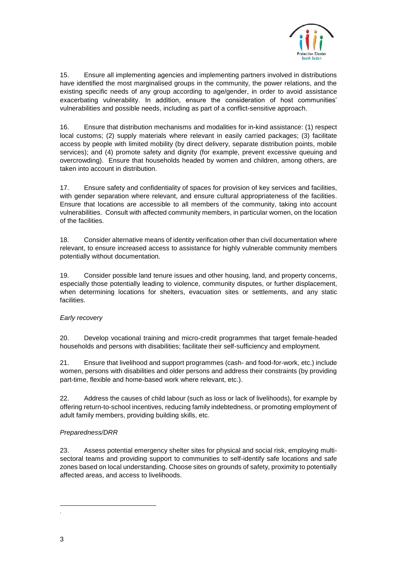

15. Ensure all implementing agencies and implementing partners involved in distributions have identified the most marginalised groups in the community, the power relations, and the existing specific needs of any group according to age/gender, in order to avoid assistance exacerbating vulnerability. In addition, ensure the consideration of host communities' vulnerabilities and possible needs, including as part of a conflict-sensitive approach.

16. Ensure that distribution mechanisms and modalities for in-kind assistance: (1) respect local customs; (2) supply materials where relevant in easily carried packages; (3) facilitate access by people with limited mobility (by direct delivery, separate distribution points, mobile services); and (4) promote safety and dignity (for example, prevent excessive queuing and overcrowding). Ensure that households headed by women and children, among others, are taken into account in distribution.

17. Ensure safety and confidentiality of spaces for provision of key services and facilities, with gender separation where relevant, and ensure cultural appropriateness of the facilities. Ensure that locations are accessible to all members of the community, taking into account vulnerabilities. Consult with affected community members, in particular women, on the location of the facilities.

18. Consider alternative means of identity verification other than civil documentation where relevant, to ensure increased access to assistance for highly vulnerable community members potentially without documentation.

19. Consider possible land tenure issues and other housing, land, and property concerns, especially those potentially leading to violence, community disputes, or further displacement, when determining locations for shelters, evacuation sites or settlements, and any static facilities.

# *Early recovery*

20. Develop vocational training and micro-credit programmes that target female-headed households and persons with disabilities; facilitate their self-sufficiency and employment.

21. Ensure that livelihood and support programmes (cash- and food-for-work, etc.) include women, persons with disabilities and older persons and address their constraints (by providing part-time, flexible and home-based work where relevant, etc.).

22. Address the causes of child labour (such as loss or lack of livelihoods), for example by offering return-to-school incentives, reducing family indebtedness, or promoting employment of adult family members, providing building skills, etc.

# *Preparedness/DRR*

23. Assess potential emergency shelter sites for physical and social risk, employing multisectoral teams and providing support to communities to self-identify safe locations and safe zones based on local understanding. Choose sites on grounds of safety, proximity to potentially affected areas, and access to livelihoods.

 $\overline{a}$ .